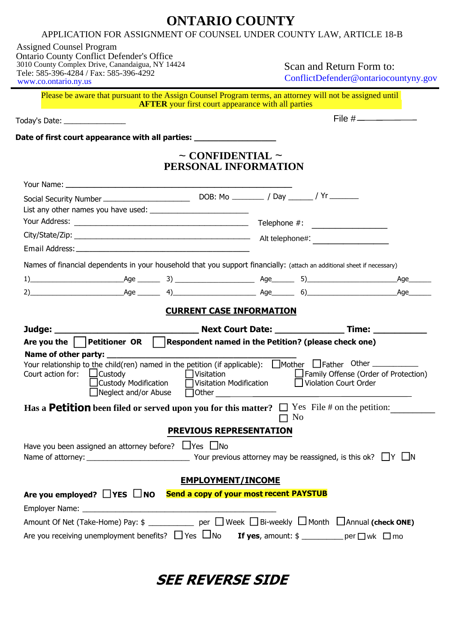## **ONTARIO COUNTY**

## APPLICATION FOR ASSIGNMENT OF COUNSEL UNDER COUNTY LAW, ARTICLE 18-B

| <b>Assigned Counsel Program</b><br><b>Ontario County Conflict Defender's Office</b><br>3010 County Complex Drive, Canandaigua, NY 14424<br>Tele: 585-396-4284 / Fax: 585-396-4292<br>www.co.ontario.ny.us                                |  |                                                                                                                                   | Scan and Return Form to:<br>ConflictDefender@ontariocountyny.gov |           |                                      |  |
|------------------------------------------------------------------------------------------------------------------------------------------------------------------------------------------------------------------------------------------|--|-----------------------------------------------------------------------------------------------------------------------------------|------------------------------------------------------------------|-----------|--------------------------------------|--|
| Please be aware that pursuant to the Assign Counsel Program terms, an attorney will not be assigned until                                                                                                                                |  | <b>AFTER</b> your first court appearance with all parties                                                                         |                                                                  |           |                                      |  |
| Today's Date: _________________                                                                                                                                                                                                          |  |                                                                                                                                   |                                                                  |           |                                      |  |
| Date of first court appearance with all parties: <b>with all parties</b> and the state of the state of the state of the                                                                                                                  |  |                                                                                                                                   |                                                                  |           |                                      |  |
|                                                                                                                                                                                                                                          |  | $\sim$ CONFIDENTIAL $\sim$<br>PERSONAL INFORMATION                                                                                |                                                                  |           |                                      |  |
|                                                                                                                                                                                                                                          |  |                                                                                                                                   |                                                                  |           |                                      |  |
|                                                                                                                                                                                                                                          |  |                                                                                                                                   |                                                                  |           |                                      |  |
|                                                                                                                                                                                                                                          |  |                                                                                                                                   |                                                                  |           |                                      |  |
|                                                                                                                                                                                                                                          |  |                                                                                                                                   |                                                                  |           |                                      |  |
|                                                                                                                                                                                                                                          |  |                                                                                                                                   |                                                                  |           |                                      |  |
| Names of financial dependents in your household that you support financially: (attach an additional sheet if necessary)                                                                                                                  |  |                                                                                                                                   |                                                                  |           |                                      |  |
| 1) Age Age 3) Age Age Age Age Age 5) Age Age Age Age Age                                                                                                                                                                                 |  |                                                                                                                                   |                                                                  |           |                                      |  |
|                                                                                                                                                                                                                                          |  |                                                                                                                                   |                                                                  |           |                                      |  |
|                                                                                                                                                                                                                                          |  | <b>CURRENT CASE INFORMATION</b>                                                                                                   |                                                                  |           |                                      |  |
|                                                                                                                                                                                                                                          |  |                                                                                                                                   |                                                                  |           |                                      |  |
| Are you the $\vert$ Petitioner OR $\vert$ Respondent named in the Petition? (please check one)                                                                                                                                           |  |                                                                                                                                   |                                                                  |           |                                      |  |
| Name of other party: _________                                                                                                                                                                                                           |  |                                                                                                                                   |                                                                  |           |                                      |  |
| Court action for: $\Box$ Custody<br>$\Box$ Custody Modification<br>Neglect and/or Abuse                                                                                                                                                  |  | $\Box$ Visitation<br>$\overline{\text{J}}$ Visitation Modification $\hfill\Box$ Violation Court Order<br>$\fbox{Other} \fbox{~~}$ |                                                                  |           | Family Offense (Order of Protection) |  |
| Has a <b>Petition</b> been filed or served upon you for this matter? $\Box$ Yes File # on the petition:                                                                                                                                  |  |                                                                                                                                   |                                                                  | $\Box$ No |                                      |  |
|                                                                                                                                                                                                                                          |  | PREVIOUS REPRESENTATION                                                                                                           |                                                                  |           |                                      |  |
| Have you been assigned an attorney before? $\Box$ Yes $\Box$ No                                                                                                                                                                          |  |                                                                                                                                   |                                                                  |           |                                      |  |
|                                                                                                                                                                                                                                          |  | <b>EMPLOYMENT/INCOME</b>                                                                                                          |                                                                  |           |                                      |  |
| Are you employed? □ YES □ NO Send a copy of your most recent PAYSTUB                                                                                                                                                                     |  |                                                                                                                                   |                                                                  |           |                                      |  |
| Amount Of Net (Take-Home) Pay: \$ ____________ per □ Week □ Bi-weekly □ Month □ Annual (check ONE)<br>Are you receiving unemployment benefits? $\Box$ Yes $\Box$ No <b>If yes</b> , amount: $\oint$ ____________ per $\Box$ wk $\Box$ mo |  |                                                                                                                                   |                                                                  |           |                                      |  |

**SEE REVERSE SIDE**